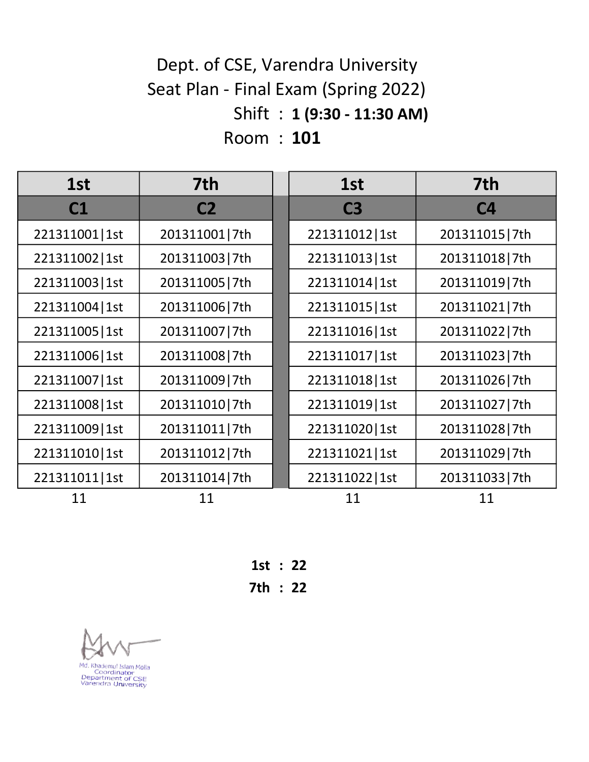#### Shift : 1 (9:30 - 11:30 AM) Room : 101 Dept. of CSE, Varendra University Seat Plan - Final Exam (Spring 2022)

| 1st             | 7th            | 1st             | 7th            |
|-----------------|----------------|-----------------|----------------|
| C1              | C <sub>2</sub> | C <sub>3</sub>  | C <sub>4</sub> |
| 221311001   1st | 201311001 7th  | 221311012   1st | 201311015 7th  |
| 221311002   1st | 201311003 7th  | 221311013   1st | 201311018 7th  |
| 221311003   1st | 201311005 7th  | 221311014   1st | 201311019 7th  |
| 221311004   1st | 201311006 7th  | 221311015   1st | 201311021 7th  |
| 221311005   1st | 201311007 7th  | 221311016   1st | 201311022 7th  |
| 221311006   1st | 201311008 7th  | 221311017   1st | 201311023 7th  |
| 221311007   1st | 201311009 7th  | 221311018   1st | 201311026 7th  |
| 221311008   1st | 201311010 7th  | 221311019   1st | 201311027 7th  |
| 221311009   1st | 201311011 7th  | 221311020 1st   | 201311028 7th  |
| 221311010   1st | 201311012 7th  | 221311021   1st | 201311029 7th  |
| 221311011   1st | 201311014 7th  | 221311022   1st | 201311033 7th  |
| 11              | 11             | 11              | 11             |

1st : 22 7th : 22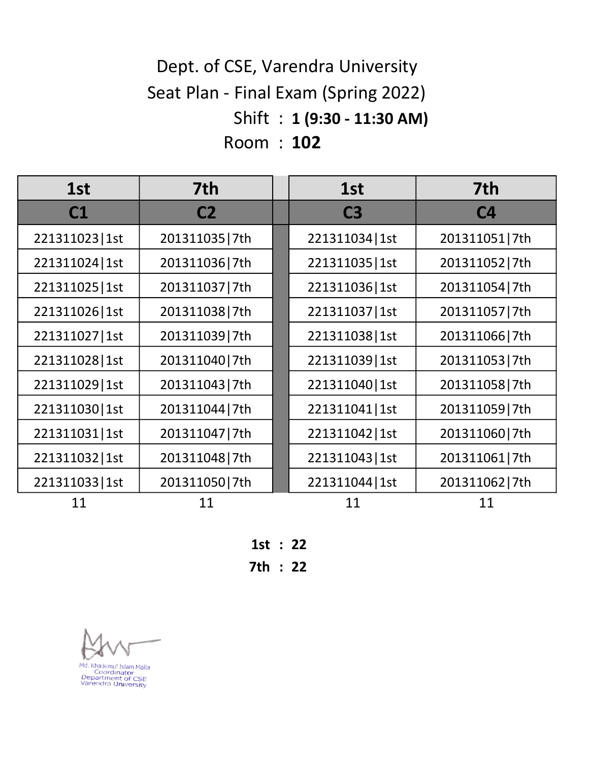# Shift : 1 (9:30 - 11:30 AM) Room : 102 Dept. of CSE, Varendra University Seat Plan - Final Exam (Spring 2022)

| 1st             | 7th            | 1st             | 7th            |
|-----------------|----------------|-----------------|----------------|
| C1              | C <sub>2</sub> | C <sub>3</sub>  | C <sub>4</sub> |
| 221311023   1st | 201311035 7th  | 221311034   1st | 201311051 7th  |
| 221311024 1st   | 201311036 7th  | 221311035   1st | 201311052 7th  |
| 221311025   1st | 201311037 7th  | 221311036 1st   | 201311054 7th  |
| 221311026 1st   | 201311038 7th  | 221311037   1st | 201311057 7th  |
| 221311027   1st | 201311039 7th  | 221311038 1st   | 201311066 7th  |
| 221311028   1st | 201311040 7th  | 221311039   1st | 201311053 7th  |
| 221311029   1st | 201311043 7th  | 221311040   1st | 201311058 7th  |
| 221311030 1st   | 201311044 7th  | 221311041   1st | 201311059 7th  |
| 221311031   1st | 201311047 7th  | 221311042   1st | 201311060 7th  |
| 221311032   1st | 201311048 7th  | 221311043   1st | 201311061 7th  |
| 221311033   1st | 201311050 7th  | 221311044   1st | 201311062 7th  |
| 11              | 11             | 11              | 11             |

1st : 22

7th : 22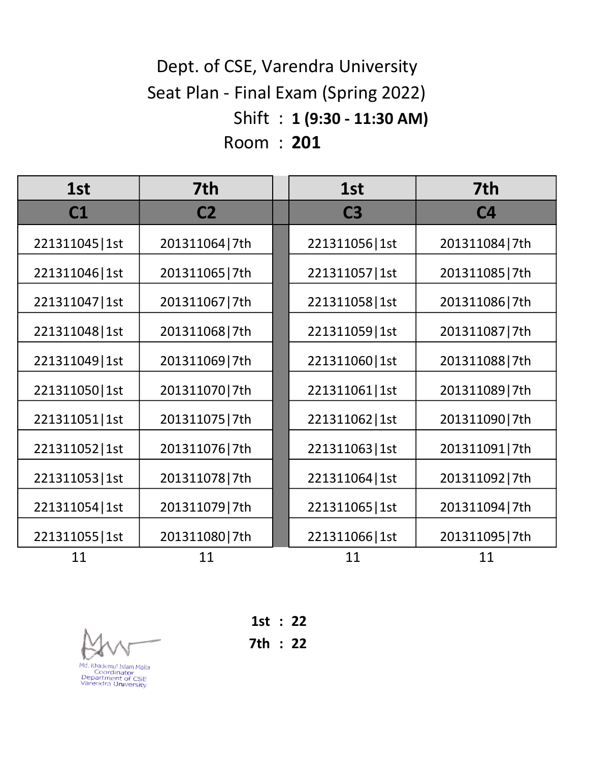# Shift : 1 (9:30 - 11:30 AM) Room : 201 Dept. of CSE, Varendra University Seat Plan - Final Exam (Spring 2022)

| 1st             | 7th            | 1st             | 7th            |
|-----------------|----------------|-----------------|----------------|
| C1              | C <sub>2</sub> | C <sub>3</sub>  | C <sub>4</sub> |
| 221311045   1st | 201311064 7th  | 221311056 1st   | 201311084 7th  |
| 221311046   1st | 201311065 7th  | 221311057   1st | 201311085 7th  |
| 221311047   1st | 201311067 7th  | 221311058   1st | 201311086 7th  |
| 221311048   1st | 201311068 7th  | 221311059   1st | 201311087 7th  |
| 221311049   1st | 201311069 7th  | 221311060   1st | 201311088 7th  |
| 221311050 1st   | 201311070 7th  | 221311061   1st | 201311089 7th  |
| 221311051   1st | 201311075 7th  | 221311062   1st | 201311090 7th  |
| 221311052   1st | 201311076 7th  | 221311063   1st | 201311091 7th  |
| 221311053   1st | 201311078 7th  | 221311064   1st | 201311092 7th  |
| 221311054   1st | 201311079 7th  | 221311065   1st | 201311094 7th  |
| 221311055   1st | 201311080 7th  | 221311066   1st | 201311095 7th  |
| 11              | 11             | 11              | 11             |

Md. Khademul Islam Molla<br>Coordinator<br>Department of CSE<br>Varendra University

1st : 22

7th : 22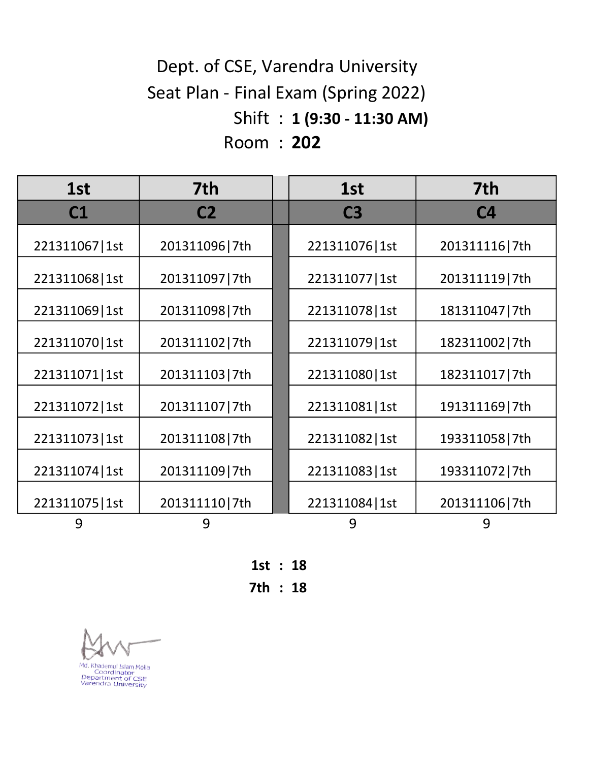# Shift : 1 (9:30 - 11:30 AM) Room : 202 Dept. of CSE, Varendra University Seat Plan - Final Exam (Spring 2022)

| 1st             | 7th            | 1st             | 7th            |
|-----------------|----------------|-----------------|----------------|
| C1              | C <sub>2</sub> | C <sub>3</sub>  | C <sub>4</sub> |
| 221311067   1st | 201311096 7th  | 221311076   1st | 201311116 7th  |
| 221311068   1st | 201311097 7th  | 221311077   1st | 201311119 7th  |
| 221311069   1st | 201311098 7th  | 221311078   1st | 181311047 7th  |
| 221311070   1st | 201311102 7th  | 221311079   1st | 182311002 7th  |
| 221311071   1st | 201311103 7th  | 221311080   1st | 182311017 7th  |
| 221311072   1st | 201311107 7th  | 221311081   1st | 191311169 7th  |
| 221311073   1st | 201311108 7th  | 221311082   1st | 193311058 7th  |
| 221311074   1st | 201311109 7th  | 221311083   1st | 193311072 7th  |
| 221311075   1st | 201311110 7th  | 221311084   1st | 201311106 7th  |
| 9               | 9              | 9               | 9              |

1st : 18 7th : 18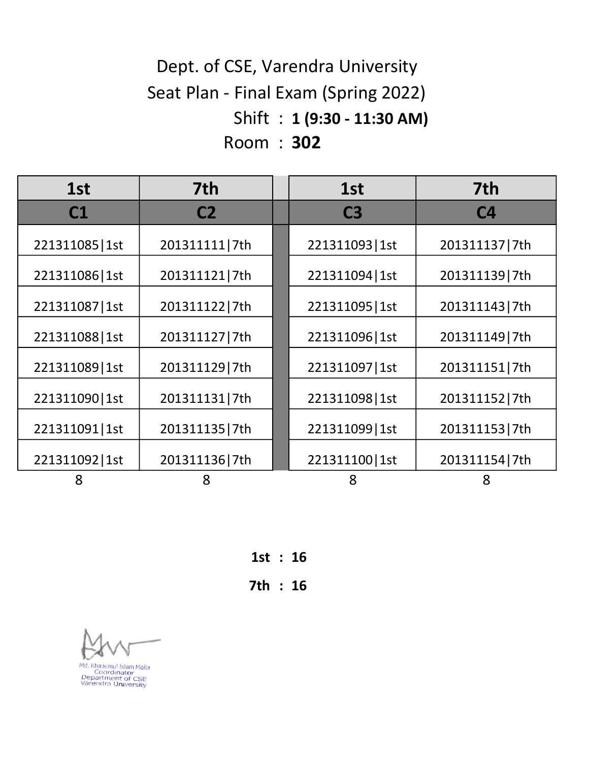# Shift : 1 (9:30 - 11:30 AM) Room : 302 Dept. of CSE, Varendra University Seat Plan - Final Exam (Spring 2022)

| 1st             | 7th            | 1st             | 7th            |
|-----------------|----------------|-----------------|----------------|
| C1              | C <sub>2</sub> | C <sub>3</sub>  | C <sub>4</sub> |
| 221311085   1st | 201311111 7th  | 221311093   1st | 201311137 7th  |
| 221311086   1st | 201311121 7th  | 221311094   1st | 201311139 7th  |
| 221311087   1st | 201311122 7th  | 221311095   1st | 201311143 7th  |
| 221311088   1st | 201311127 7th  | 221311096   1st | 201311149 7th  |
| 221311089   1st | 201311129 7th  | 221311097   1st | 201311151 7th  |
| 221311090   1st | 201311131 7th  | 221311098   1st | 201311152 7th  |
| 221311091   1st | 201311135 7th  | 221311099   1st | 201311153 7th  |
| 221311092   1st | 201311136 7th  | 221311100   1st | 201311154 7th  |
| 8               | 8              | 8               | 8              |

1st : 16 7th : 16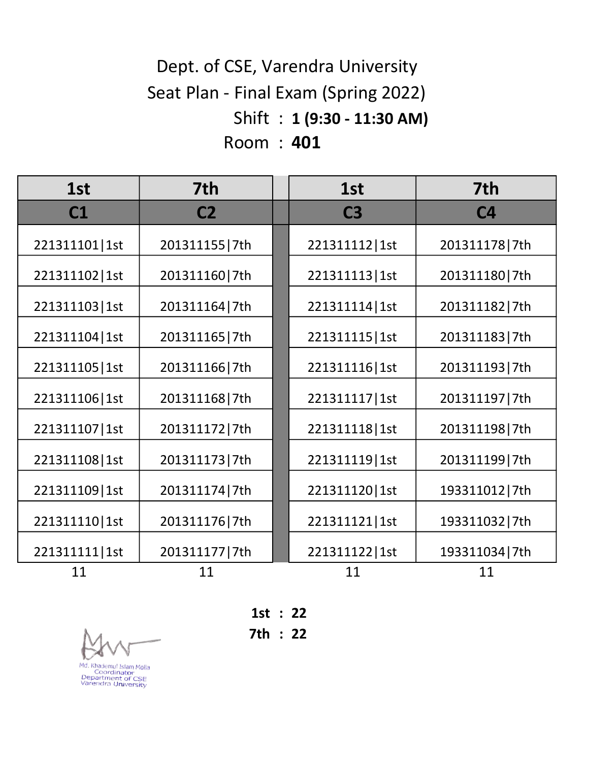# Shift : 1 (9:30 - 11:30 AM) Room : 401 Dept. of CSE, Varendra University Seat Plan - Final Exam (Spring 2022)

| 1st             | 7th            | 1st             | 7th            |
|-----------------|----------------|-----------------|----------------|
| C1              | C <sub>2</sub> | C <sub>3</sub>  | C <sub>4</sub> |
| 221311101   1st | 201311155 7th  | 221311112   1st | 201311178 7th  |
| 221311102   1st | 201311160 7th  | 221311113   1st | 201311180 7th  |
| 221311103   1st | 201311164 7th  | 221311114   1st | 201311182 7th  |
| 221311104   1st | 201311165 7th  | 221311115   1st | 201311183 7th  |
| 221311105   1st | 201311166 7th  | 221311116 1st   | 201311193 7th  |
| 221311106   1st | 201311168 7th  | 221311117   1st | 201311197 7th  |
| 221311107   1st | 201311172 7th  | 221311118 1st   | 201311198 7th  |
| 221311108   1st | 201311173 7th  | 221311119   1st | 201311199 7th  |
| 221311109   1st | 201311174 7th  | 221311120   1st | 193311012 7th  |
| 221311110 1st   | 201311176 7th  | 221311121   1st | 193311032 7th  |
| 221311111   1st | 201311177 7th  | 221311122   1st | 193311034 7th  |
| 11              | 11             | 11              | 11             |



1st : 22

7th : 22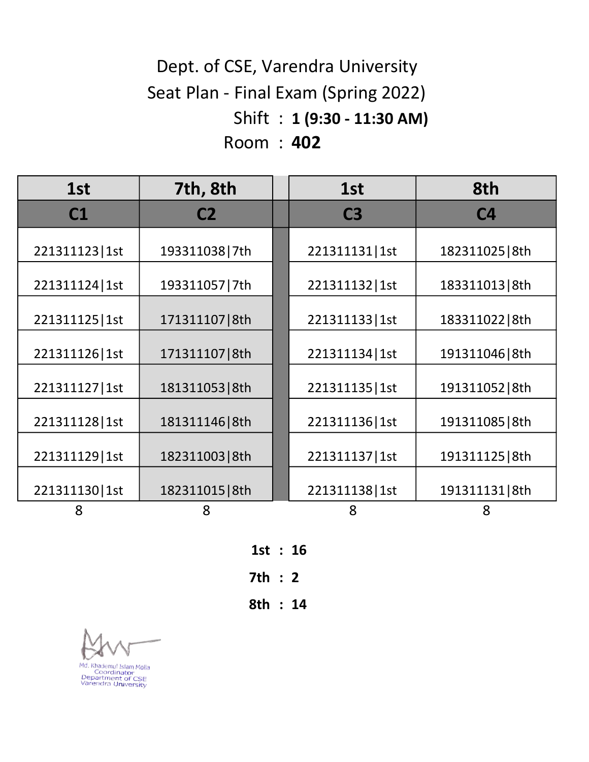# Shift : 1 (9:30 - 11:30 AM) Room : 402 Dept. of CSE, Varendra University Seat Plan - Final Exam (Spring 2022)

| 1st             | 7th, 8th        | 1st             | 8th             |
|-----------------|-----------------|-----------------|-----------------|
| C1              | C <sub>2</sub>  | C <sub>3</sub>  | C <sub>4</sub>  |
| 221311123   1st | 193311038 7th   | 221311131   1st | 182311025   8th |
| 221311124   1st | 193311057 7th   | 221311132   1st | 183311013   8th |
| 221311125   1st | 171311107   8th | 221311133   1st | 183311022   8th |
| 221311126 1st   | 171311107   8th | 221311134   1st | 191311046   8th |
| 221311127   1st | 181311053   8th | 221311135   1st | 191311052   8th |
| 221311128 1st   | 181311146 8th   | 221311136 1st   | 191311085   8th |
| 221311129   1st | 182311003   8th | 221311137   1st | 191311125   8th |
| 221311130 1st   | 182311015   8th | 221311138   1st | 191311131   8th |
| 8               | 8               | 8               | 8               |

1st : 16 7th : 2 8th : 14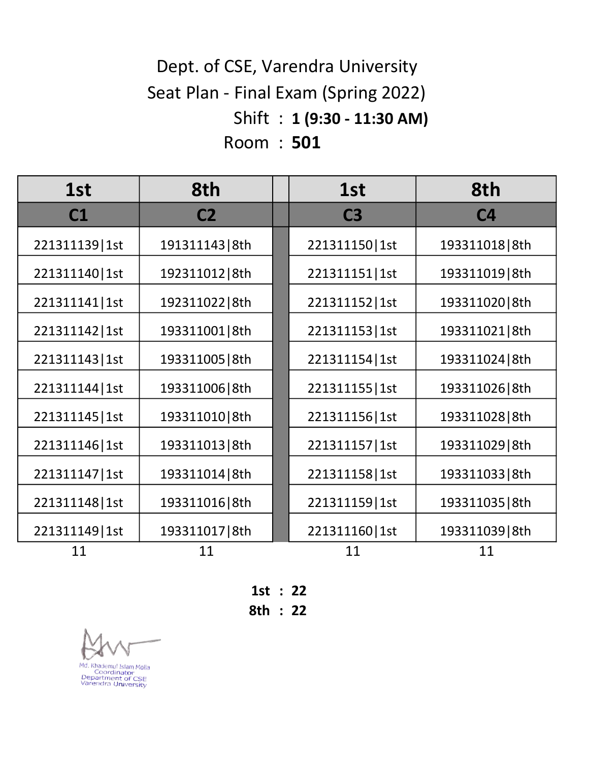# Shift : 1 (9:30 - 11:30 AM) Room : 501 Dept. of CSE, Varendra University Seat Plan - Final Exam (Spring 2022)

| 1st             | 8th             |  | 1st             | 8th             |
|-----------------|-----------------|--|-----------------|-----------------|
| C1              | C <sub>2</sub>  |  | C <sub>3</sub>  | C <sub>4</sub>  |
| 221311139   1st | 191311143   8th |  | 221311150   1st | 193311018   8th |
| 221311140   1st | 192311012   8th |  | 221311151   1st | 193311019 8th   |
| 221311141   1st | 192311022   8th |  | 221311152   1st | 193311020 8th   |
| 221311142   1st | 193311001   8th |  | 221311153   1st | 193311021   8th |
| 221311143   1st | 193311005   8th |  | 221311154 1st   | 193311024 8th   |
| 221311144   1st | 193311006   8th |  | 221311155   1st | 193311026 8th   |
| 221311145   1st | 193311010 8th   |  | 221311156 1st   | 193311028 8th   |
| 221311146   1st | 193311013   8th |  | 221311157   1st | 193311029 8th   |
| 221311147   1st | 193311014   8th |  | 221311158 1st   | 193311033   8th |
| 221311148   1st | 193311016   8th |  | 221311159   1st | 193311035   8th |
| 221311149   1st | 193311017   8th |  | 221311160   1st | 193311039 8th   |
| 11              | 11              |  | 11              | 11              |

1st : 22

8th : 22

Md. Khademul Islam Molla<br>Coordinator<br>Department of CSE<br>Varendra University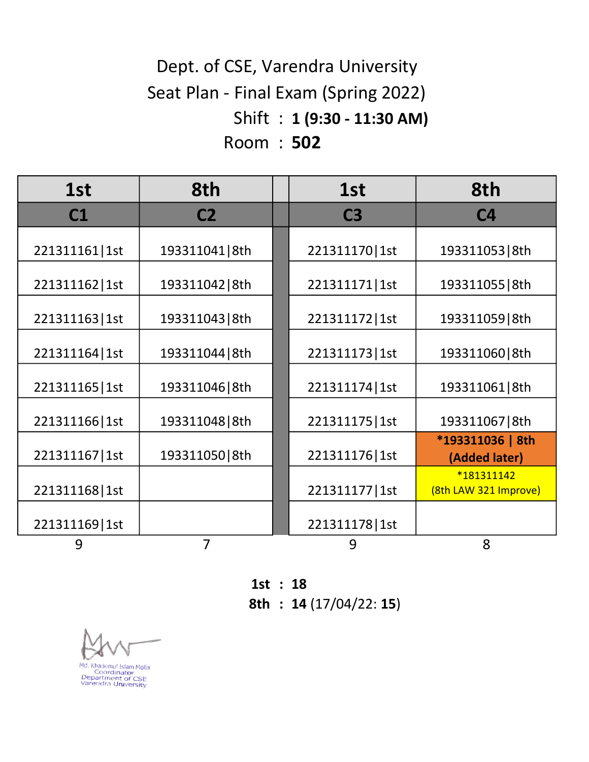# Shift : 1 (9:30 - 11:30 AM) Room : 502 Dept. of CSE, Varendra University Seat Plan - Final Exam (Spring 2022)

| 1st             | 8th             | 1st             | 8th                                 |
|-----------------|-----------------|-----------------|-------------------------------------|
| C1              | C <sub>2</sub>  | C <sub>3</sub>  | C <sub>4</sub>                      |
| 221311161   1st | 193311041   8th | 221311170   1st | 193311053   8th                     |
| 221311162   1st | 193311042   8th | 221311171   1st | 193311055   8th                     |
| 221311163   1st | 193311043   8th | 221311172   1st | 193311059 8th                       |
| 221311164   1st | 193311044   8th | 221311173   1st | 193311060 8th                       |
| 221311165   1st | 193311046 8th   | 221311174   1st | 193311061   8th                     |
| 221311166   1st | 193311048   8th | 221311175   1st | 193311067   8th                     |
| 221311167   1st | 193311050 8th   | 221311176 1st   | *193311036   8th<br>(Added later)   |
| 221311168   1st |                 | 221311177   1st | *181311142<br>(8th LAW 321 Improve) |
| 221311169   1st |                 | 221311178 1st   |                                     |
| 9               | 7               | 9               | 8                                   |

1st : 18

8th : 14 (17/04/22: 15)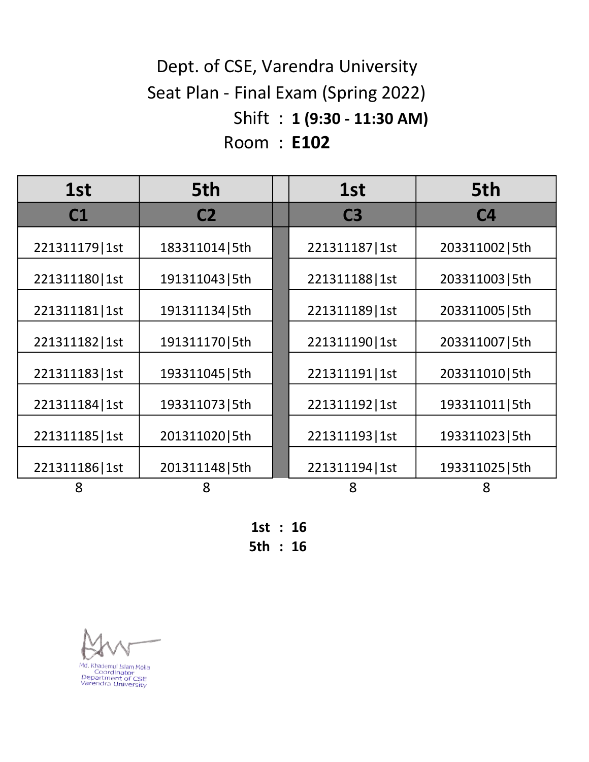# Shift : 1 (9:30 - 11:30 AM) Room : E102 Dept. of CSE, Varendra University Seat Plan - Final Exam (Spring 2022)

| 1st             | 5th             | 1st             | 5th             |
|-----------------|-----------------|-----------------|-----------------|
| C <sub>1</sub>  | C <sub>2</sub>  | C <sub>3</sub>  | C <sub>4</sub>  |
| 221311179   1st | 183311014   5th | 221311187   1st | 203311002   5th |
| 221311180   1st | 191311043   5th | 221311188   1st | 203311003   5th |
| 221311181   1st | 191311134   5th | 221311189   1st | 203311005   5th |
| 221311182   1st | 191311170   5th | 221311190   1st | 203311007   5th |
| 221311183   1st | 193311045   5th | 221311191   1st | 203311010 5th   |
| 221311184   1st | 193311073   5th | 221311192   1st | 193311011   5th |
| 221311185   1st | 201311020   5th | 221311193   1st | 193311023   5th |
| 221311186 1st   | 201311148   5th | 221311194 1st   | 193311025   5th |
| 8               | 8               | 8               | 8               |

1st : 16 5th : 16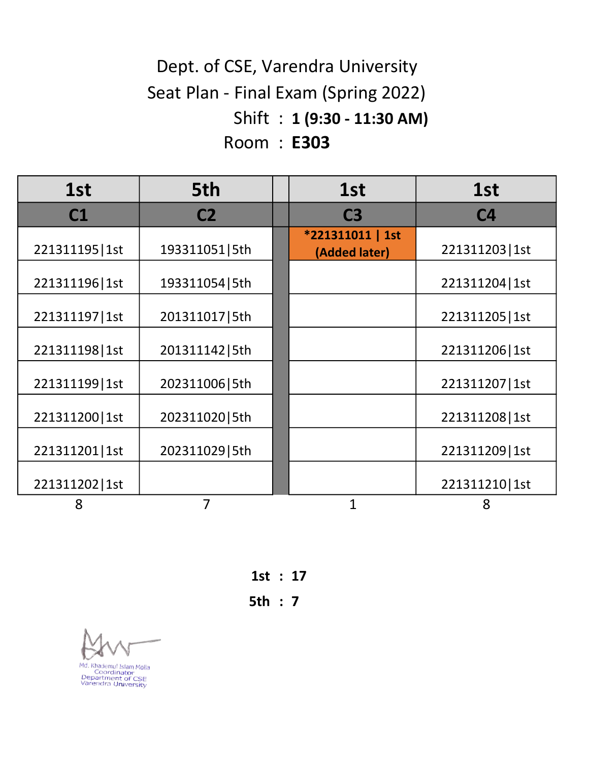# Shift : 1 (9:30 - 11:30 AM) Room : E303 Dept. of CSE, Varendra University Seat Plan - Final Exam (Spring 2022)

| 1st             | 5th             | 1st                               | 1st             |
|-----------------|-----------------|-----------------------------------|-----------------|
| C1              | C <sub>2</sub>  | C <sub>3</sub>                    | C <sub>4</sub>  |
| 221311195   1st | 193311051   5th | *221311011   1st<br>(Added later) | 221311203   1st |
| 221311196 1st   | 193311054   5th |                                   | 221311204   1st |
| 221311197   1st | 201311017   5th |                                   | 221311205   1st |
| 221311198 1st   | 201311142   5th |                                   | 221311206   1st |
| 221311199 1st   | 202311006   5th |                                   | 221311207   1st |
| 221311200   1st | 202311020   5th |                                   | 221311208 1st   |
| 221311201   1st | 202311029   5th |                                   | 221311209   1st |
| 221311202   1st |                 |                                   | 221311210 1st   |
| 8               | 7               | 1                                 | 8               |

1st : 17

5th : 7